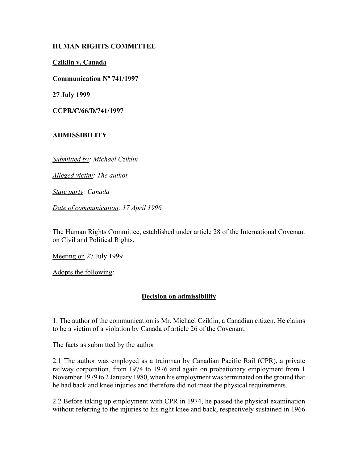### **HUMAN RIGHTS COMMITTEE**

**Cziklin v. Canada**

**Communication Nº 741/1997**

**27 July 1999**

**CCPR/C/66/D/741/1997**

# **ADMISSIBILITY**

*Submitted by: Michael Cziklin* 

*Alleged victim: The author* 

*State party: Canada* 

*Date of communication: 17 April 1996* 

The Human Rights Committee, established under article 28 of the International Covenant on Civil and Political Rights,

Meeting on 27 July 1999

Adopts the following:

# **Decision on admissibility**

1. The author of the communication is Mr. Michael Cziklin, a Canadian citizen. He claims to be a victim of a violation by Canada of article 26 of the Covenant.

The facts as submitted by the author

2.1 The author was employed as a trainman by Canadian Pacific Rail (CPR), a private railway corporation, from 1974 to 1976 and again on probationary employment from 1 November 1979 to 2 January 1980, when his employment was terminated on the ground that he had back and knee injuries and therefore did not meet the physical requirements.

2.2 Before taking up employment with CPR in 1974, he passed the physical examination without referring to the injuries to his right knee and back, respectively sustained in 1966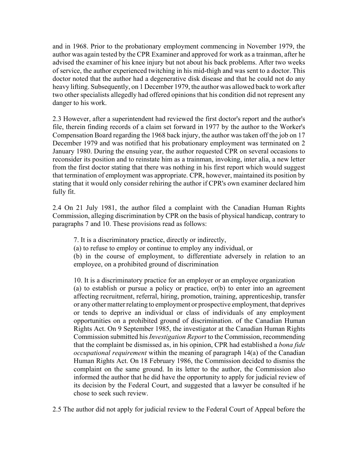and in 1968. Prior to the probationary employment commencing in November 1979, the author was again tested by the CPR Examiner and approved for work as a trainman, after he advised the examiner of his knee injury but not about his back problems. After two weeks of service, the author experienced twitching in his mid-thigh and was sent to a doctor. This doctor noted that the author had a degenerative disk disease and that he could not do any heavy lifting. Subsequently, on 1 December 1979, the author was allowed back to work after two other specialists allegedly had offered opinions that his condition did not represent any danger to his work.

2.3 However, after a superintendent had reviewed the first doctor's report and the author's file, therein finding records of a claim set forward in 1977 by the author to the Worker's Compensation Board regarding the 1968 back injury, the author was taken off the job on 17 December 1979 and was notified that his probationary employment was terminated on 2 January 1980. During the ensuing year, the author requested CPR on several occasions to reconsider its position and to reinstate him as a trainman, invoking, inter alia, a new letter from the first doctor stating that there was nothing in his first report which would suggest that termination of employment was appropriate. CPR, however, maintained its position by stating that it would only consider rehiring the author if CPR's own examiner declared him fully fit.

2.4 On 21 July 1981, the author filed a complaint with the Canadian Human Rights Commission, alleging discrimination by CPR on the basis of physical handicap, contrary to paragraphs 7 and 10. These provisions read as follows:

7. It is a discriminatory practice, directly or indirectly,

(a) to refuse to employ or continue to employ any individual, or

(b) in the course of employment, to differentiate adversely in relation to an employee, on a prohibited ground of discrimination

10. It is a discriminatory practice for an employer or an employee organization (a) to establish or pursue a policy or practice, or(b) to enter into an agreement affecting recruitment, referral, hiring, promotion, training, apprenticeship, transfer or any other matter relating to employment or prospective employment, that deprives or tends to deprive an individual or class of individuals of any employment opportunities on a prohibited ground of discrimination. of the Canadian Human Rights Act. On 9 September 1985, the investigator at the Canadian Human Rights Commission submitted his *Investigation Report* to the Commission, recommending that the complaint be dismissed as, in his opinion, CPR had established a *bona fide occupational requirement* within the meaning of paragraph 14(a) of the Canadian Human Rights Act. On 18 February 1986, the Commission decided to dismiss the complaint on the same ground. In its letter to the author, the Commission also informed the author that he did have the opportunity to apply for judicial review of its decision by the Federal Court, and suggested that a lawyer be consulted if he chose to seek such review.

2.5 The author did not apply for judicial review to the Federal Court of Appeal before the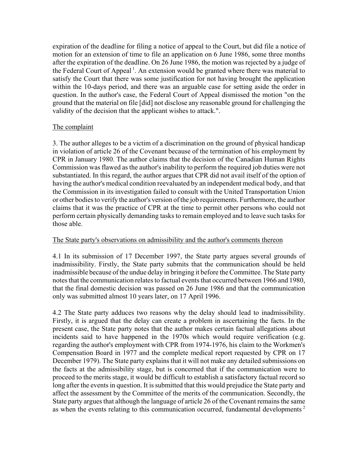expiration of the deadline for filing a notice of appeal to the Court, but did file a notice of motion for an extension of time to file an application on 6 June 1986, some three months after the expiration of the deadline. On 26 June 1986, the motion was rejected by a judge of the Federal Court of Appeal<sup>1</sup>. An extension would be granted where there was material to satisfy the Court that there was some justification for not having brought the application within the 10-days period, and there was an arguable case for setting aside the order in question. In the author's case, the Federal Court of Appeal dismissed the motion "on the ground that the material on file [did] not disclose any reasonable ground for challenging the validity of the decision that the applicant wishes to attack.".

#### The complaint

3. The author alleges to be a victim of a discrimination on the ground of physical handicap in violation of article 26 of the Covenant because of the termination of his employment by CPR in January 1980. The author claims that the decision of the Canadian Human Rights Commission was flawed as the author's inability to perform the required job duties were not substantiated. In this regard, the author argues that CPR did not avail itself of the option of having the author's medical condition reevaluated by an independent medical body, and that the Commission in its investigation failed to consult with the United Transportation Union or other bodies to verify the author's version of the job requirements. Furthermore, the author claims that it was the practice of CPR at the time to permit other persons who could not perform certain physically demanding tasks to remain employed and to leave such tasks for those able.

#### The State party's observations on admissibility and the author's comments thereon

4.1 In its submission of 17 December 1997, the State party argues several grounds of inadmissibility. Firstly, the State party submits that the communication should be held inadmissible because of the undue delay in bringing it before the Committee. The State party notes that the communication relates to factual events that occurred between 1966 and 1980, that the final domestic decision was passed on 26 June 1986 and that the communication only was submitted almost 10 years later, on 17 April 1996.

4.2 The State party adduces two reasons why the delay should lead to inadmissibility. Firstly, it is argued that the delay can create a problem in ascertaining the facts. In the present case, the State party notes that the author makes certain factual allegations about incidents said to have happened in the 1970s which would require verification (e.g. regarding the author's employment with CPR from 1974-1976, his claim to the Workmen's Compensation Board in 1977 and the complete medical report requested by CPR on 17 December 1979). The State party explains that it will not make any detailed submissions on the facts at the admissibility stage, but is concerned that if the communication were to proceed to the merits stage, it would be difficult to establish a satisfactory factual record so long after the events in question. It is submitted that this would prejudice the State party and affect the assessment by the Committee of the merits of the communication. Secondly, the State party argues that although the language of article 26 of the Covenant remains the same as when the events relating to this communication occurred, fundamental developments<sup>2</sup>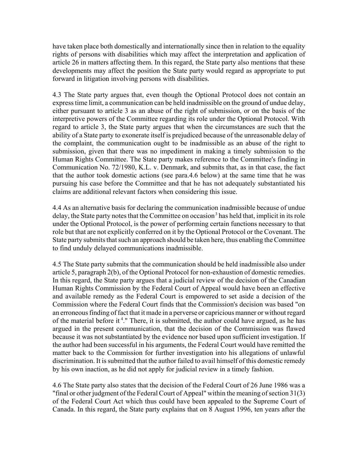have taken place both domestically and internationally since then in relation to the equality rights of persons with disabilities which may affect the interpretation and application of article 26 in matters affecting them. In this regard, the State party also mentions that these developments may affect the position the State party would regard as appropriate to put forward in litigation involving persons with disabilities.

4.3 The State party argues that, even though the Optional Protocol does not contain an express time limit, a communication can be held inadmissible on the ground of undue delay, either pursuant to article 3 as an abuse of the right of submission, or on the basis of the interpretive powers of the Committee regarding its role under the Optional Protocol. With regard to article 3, the State party argues that when the circumstances are such that the ability of a State party to exonerate itself is prejudiced because of the unreasonable delay of the complaint, the communication ought to be inadmissible as an abuse of the right to submission, given that there was no impediment in making a timely submission to the Human Rights Committee. The State party makes reference to the Committee's finding in Communication No. 72/1980, K.L. v. Denmark, and submits that, as in that case, the fact that the author took domestic actions (see para.4.6 below) at the same time that he was pursuing his case before the Committee and that he has not adequately substantiated his claims are additional relevant factors when considering this issue.

4.4 As an alternative basis for declaring the communication inadmissible because of undue delay, the State party notes that the Committee on occasion<sup>3</sup> has held that, implicit in its role under the Optional Protocol, is the power of performing certain functions necessary to that role but that are not explicitly conferred on it by the Optional Protocol or the Covenant. The State party submits that such an approach should be taken here, thus enabling the Committee to find unduly delayed communications inadmissible.

4.5 The State party submits that the communication should be held inadmissible also under article 5, paragraph 2(b), of the Optional Protocol for non-exhaustion of domestic remedies. In this regard, the State party argues that a judicial review of the decision of the Canadian Human Rights Commission by the Federal Court of Appeal would have been an effective and available remedy as the Federal Court is empowered to set aside a decision of the Commission where the Federal Court finds that the Commission's decision was based "on an erroneous finding of fact that it made in a perverse or capricious manner or without regard of the material before it<sup>4</sup>." There, it is submitted, the author could have argued, as he has argued in the present communication, that the decision of the Commission was flawed because it was not substantiated by the evidence nor based upon sufficient investigation. If the author had been successful in his arguments, the Federal Court would have remitted the matter back to the Commission for further investigation into his allegations of unlawful discrimination. It is submitted that the author failed to avail himself of this domestic remedy by his own inaction, as he did not apply for judicial review in a timely fashion.

4.6 The State party also states that the decision of the Federal Court of 26 June 1986 was a "final or other judgment of the Federal Court of Appeal" within the meaning of section 31(3) of the Federal Court Act which thus could have been appealed to the Supreme Court of Canada. In this regard, the State party explains that on 8 August 1996, ten years after the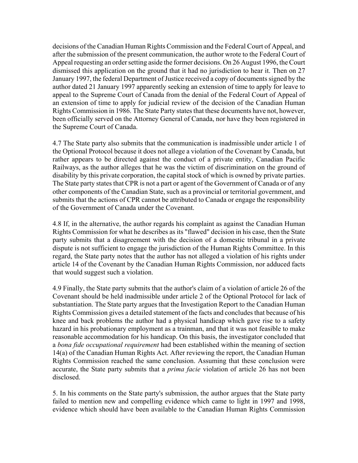decisions of the Canadian Human Rights Commission and the Federal Court of Appeal, and after the submission of the present communication, the author wrote to the Federal Court of Appeal requesting an order setting aside the former decisions. On 26 August 1996, the Court dismissed this application on the ground that it had no jurisdiction to hear it. Then on 27 January 1997, the federal Department of Justice received a copy of documents signed by the author dated 21 January 1997 apparently seeking an extension of time to apply for leave to appeal to the Supreme Court of Canada from the denial of the Federal Court of Appeal of an extension of time to apply for judicial review of the decision of the Canadian Human Rights Commission in 1986. The State Party states that these documents have not, however, been officially served on the Attorney General of Canada, nor have they been registered in the Supreme Court of Canada.

4.7 The State party also submits that the communication is inadmissible under article 1 of the Optional Protocol because it does not allege a violation of the Covenant by Canada, but rather appears to be directed against the conduct of a private entity, Canadian Pacific Railways, as the author alleges that he was the victim of discrimination on the ground of disability by this private corporation, the capital stock of which is owned by private parties. The State party states that CPR is not a part or agent of the Government of Canada or of any other components of the Canadian State, such as a provincial or territorial government, and submits that the actions of CPR cannot be attributed to Canada or engage the responsibility of the Government of Canada under the Covenant.

4.8 If, in the alternative, the author regards his complaint as against the Canadian Human Rights Commission for what he describes as its "flawed" decision in his case, then the State party submits that a disagreement with the decision of a domestic tribunal in a private dispute is not sufficient to engage the jurisdiction of the Human Rights Committee. In this regard, the State party notes that the author has not alleged a violation of his rights under article 14 of the Covenant by the Canadian Human Rights Commission, nor adduced facts that would suggest such a violation.

4.9 Finally, the State party submits that the author's claim of a violation of article 26 of the Covenant should be held inadmissible under article 2 of the Optional Protocol for lack of substantiation. The State party argues that the Investigation Report to the Canadian Human Rights Commission gives a detailed statement of the facts and concludes that because of his knee and back problems the author had a physical handicap which gave rise to a safety hazard in his probationary employment as a trainman, and that it was not feasible to make reasonable accommodation for his handicap. On this basis, the investigator concluded that a *bona fide occupational requirement* had been established within the meaning of section 14(a) of the Canadian Human Rights Act. After reviewing the report, the Canadian Human Rights Commission reached the same conclusion. Assuming that these conclusion were accurate, the State party submits that a *prima facie* violation of article 26 has not been disclosed.

5. In his comments on the State party's submission, the author argues that the State party failed to mention new and compelling evidence which came to light in 1997 and 1998, evidence which should have been available to the Canadian Human Rights Commission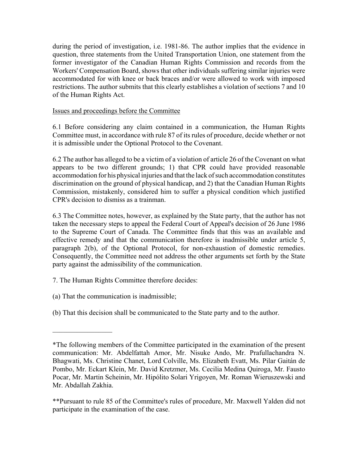during the period of investigation, i.e. 1981-86. The author implies that the evidence in question, three statements from the United Transportation Union, one statement from the former investigator of the Canadian Human Rights Commission and records from the Workers' Compensation Board, shows that other individuals suffering similar injuries were accommodated for with knee or back braces and/or were allowed to work with imposed restrictions. The author submits that this clearly establishes a violation of sections 7 and 10 of the Human Rights Act.

Issues and proceedings before the Committee

6.1 Before considering any claim contained in a communication, the Human Rights Committee must, in accordance with rule 87 of its rules of procedure, decide whether or not it is admissible under the Optional Protocol to the Covenant.

6.2 The author has alleged to be a victim of a violation of article 26 of the Covenant on what appears to be two different grounds; 1) that CPR could have provided reasonable accommodation for his physical injuries and that the lack of such accommodation constitutes discrimination on the ground of physical handicap, and 2) that the Canadian Human Rights Commission, mistakenly, considered him to suffer a physical condition which justified CPR's decision to dismiss as a trainman.

6.3 The Committee notes, however, as explained by the State party, that the author has not taken the necessary steps to appeal the Federal Court of Appeal's decision of 26 June 1986 to the Supreme Court of Canada. The Committee finds that this was an available and effective remedy and that the communication therefore is inadmissible under article 5, paragraph 2(b), of the Optional Protocol, for non-exhaustion of domestic remedies. Consequently, the Committee need not address the other arguments set forth by the State party against the admissibility of the communication.

7. The Human Rights Committee therefore decides:

(a) That the communication is inadmissible;

 $\frac{1}{2}$ 

(b) That this decision shall be communicated to the State party and to the author.

<sup>\*</sup>The following members of the Committee participated in the examination of the present communication: Mr. Abdelfattah Amor, Mr. Nisuke Ando, Mr. Prafullachandra N. Bhagwati, Ms. Christine Chanet, Lord Colville, Ms. Elizabeth Evatt, Ms. Pilar Gaitán de Pombo, Mr. Eckart Klein, Mr. David Kretzmer, Ms. Cecilia Medina Quiroga, Mr. Fausto Pocar, Mr. Martin Scheinin, Mr. Hipólito Solari Yrigoyen, Mr. Roman Wieruszewski and Mr. Abdallah Zakhia.

<sup>\*\*</sup>Pursuant to rule 85 of the Committee's rules of procedure, Mr. Maxwell Yalden did not participate in the examination of the case.